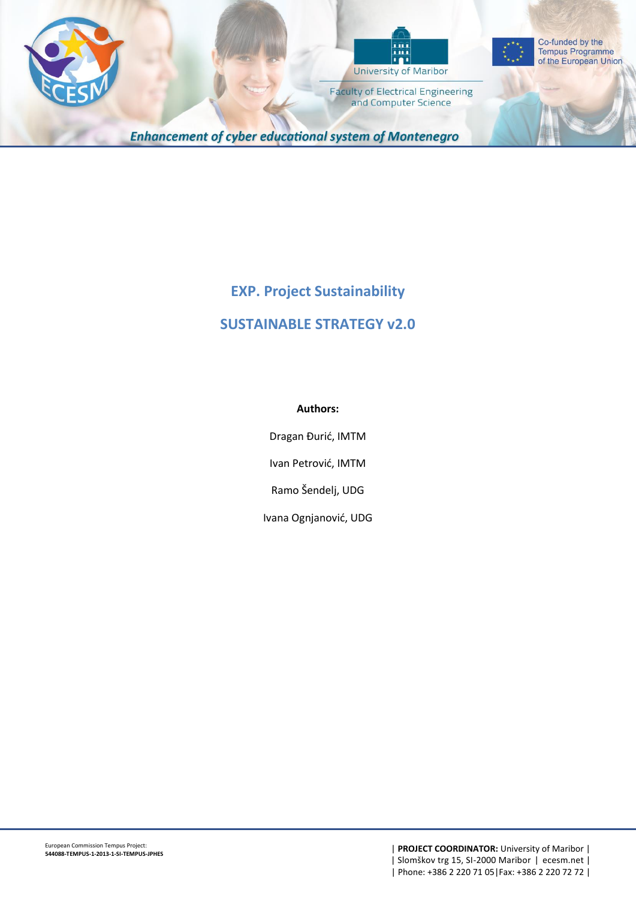





Co-funded by the **Tempus Programme** of the European Union

**Faculty of Electrical Engineering** and Computer Science

**Enhancement of cyber educational system of Montenegro** 

# **EXP. Project Sustainability**

# **SUSTAINABLE STRATEGY v2.0**

#### **Authors:**

Dragan Đurić, IMTM

Ivan Petrović, IMTM

Ramo Šendelj, UDG

Ivana Ognjanović, UDG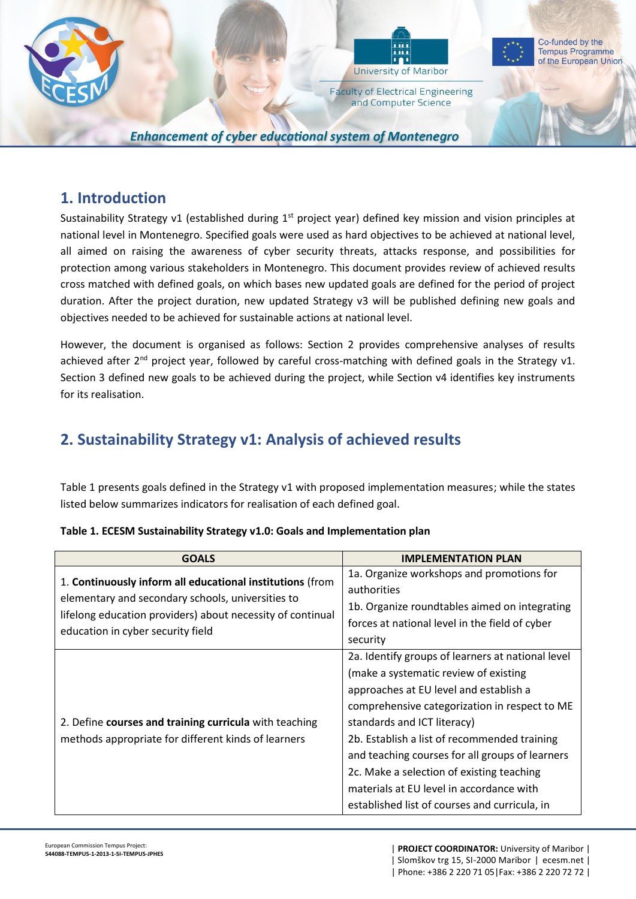

## **1. Introduction**

Sustainability Strategy v1 (established during  $1<sup>st</sup>$  project year) defined key mission and vision principles at national level in Montenegro. Specified goals were used as hard objectives to be achieved at national level, all aimed on raising the awareness of cyber security threats, attacks response, and possibilities for protection among various stakeholders in Montenegro. This document provides review of achieved results cross matched with defined goals, on which bases new updated goals are defined for the period of project duration. After the project duration, new updated Strategy v3 will be published defining new goals and objectives needed to be achieved for sustainable actions at national level.

However, the document is organised as follows: Section 2 provides comprehensive analyses of results achieved after 2<sup>nd</sup> project year, followed by careful cross-matching with defined goals in the Strategy v1. Section 3 defined new goals to be achieved during the project, while Section v4 identifies key instruments for its realisation.

# **2. Sustainability Strategy v1: Analysis of achieved results**

Table 1 presents goals defined in the Strategy v1 with proposed implementation measures; while the states listed below summarizes indicators for realisation of each defined goal.

| <b>GOALS</b>                                                                                                                                                                                                      | <b>IMPLEMENTATION PLAN</b>                                                                                                                                                                                                                                                                                                                                                                                                                                        |
|-------------------------------------------------------------------------------------------------------------------------------------------------------------------------------------------------------------------|-------------------------------------------------------------------------------------------------------------------------------------------------------------------------------------------------------------------------------------------------------------------------------------------------------------------------------------------------------------------------------------------------------------------------------------------------------------------|
| 1. Continuously inform all educational institutions (from<br>elementary and secondary schools, universities to<br>lifelong education providers) about necessity of continual<br>education in cyber security field | 1a. Organize workshops and promotions for<br>authorities<br>1b. Organize roundtables aimed on integrating<br>forces at national level in the field of cyber<br>security                                                                                                                                                                                                                                                                                           |
| 2. Define courses and training curricula with teaching<br>methods appropriate for different kinds of learners                                                                                                     | 2a. Identify groups of learners at national level<br>(make a systematic review of existing<br>approaches at EU level and establish a<br>comprehensive categorization in respect to ME<br>standards and ICT literacy)<br>2b. Establish a list of recommended training<br>and teaching courses for all groups of learners<br>2c. Make a selection of existing teaching<br>materials at EU level in accordance with<br>established list of courses and curricula, in |

#### **Table 1. ECESM Sustainability Strategy v1.0: Goals and Implementation plan**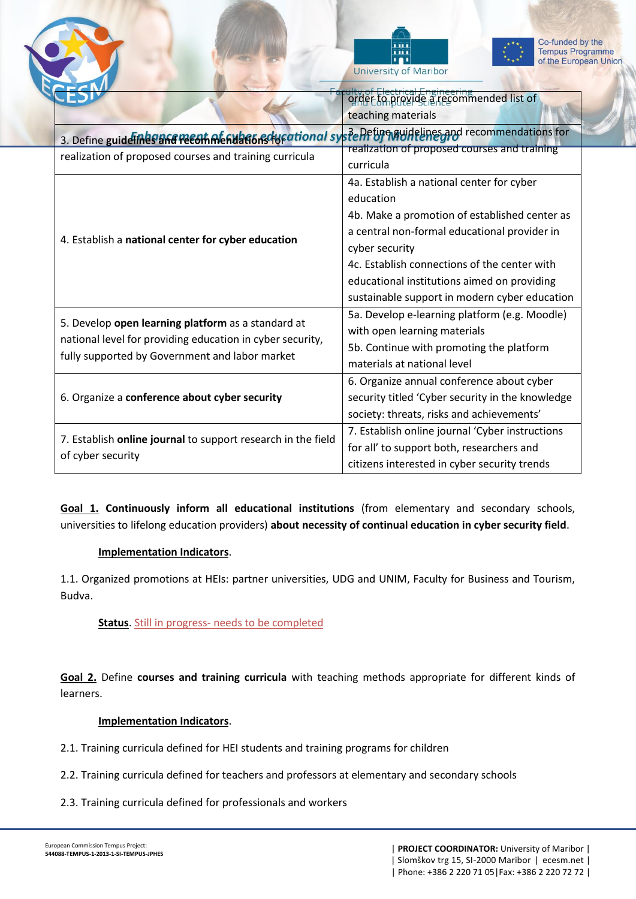





Co-funded by the **Tempus Programme** of the European Union

|                                                                                                                                                                   | order to provide a recommended list of           |
|-------------------------------------------------------------------------------------------------------------------------------------------------------------------|--------------------------------------------------|
|                                                                                                                                                                   | teaching materials                               |
| 3. Define guidelines and recommendations in the property of the System of the System of the System of the System                                                  |                                                  |
| realization of proposed courses and training curricula                                                                                                            | realization of proposed courses and training     |
|                                                                                                                                                                   | curricula                                        |
| 4. Establish a national center for cyber education                                                                                                                | 4a. Establish a national center for cyber        |
|                                                                                                                                                                   | education                                        |
|                                                                                                                                                                   | 4b. Make a promotion of established center as    |
|                                                                                                                                                                   | a central non-formal educational provider in     |
|                                                                                                                                                                   | cyber security                                   |
|                                                                                                                                                                   | 4c. Establish connections of the center with     |
|                                                                                                                                                                   | educational institutions aimed on providing      |
|                                                                                                                                                                   | sustainable support in modern cyber education    |
| 5. Develop open learning platform as a standard at<br>national level for providing education in cyber security,<br>fully supported by Government and labor market | 5a. Develop e-learning platform (e.g. Moodle)    |
|                                                                                                                                                                   | with open learning materials                     |
|                                                                                                                                                                   | 5b. Continue with promoting the platform         |
|                                                                                                                                                                   | materials at national level                      |
| 6. Organize a conference about cyber security                                                                                                                     | 6. Organize annual conference about cyber        |
|                                                                                                                                                                   | security titled 'Cyber security in the knowledge |
|                                                                                                                                                                   | society: threats, risks and achievements'        |
| 7. Establish online journal to support research in the field<br>of cyber security                                                                                 | 7. Establish online journal 'Cyber instructions  |
|                                                                                                                                                                   | for all' to support both, researchers and        |
|                                                                                                                                                                   | citizens interested in cyber security trends     |

**Goal 1. Continuously inform all educational institutions** (from elementary and secondary schools, universities to lifelong education providers) **about necessity of continual education in cyber security field**.

#### **Implementation Indicators**.

1.1. Organized promotions at HEIs: partner universities, UDG and UNIM, Faculty for Business and Tourism, Budva.

### **Status**. Still in progress- needs to be completed

**Goal 2.** Define **courses and training curricula** with teaching methods appropriate for different kinds of learners.

#### **Implementation Indicators**.

- 2.1. Training curricula defined for HEI students and training programs for children
- 2.2. Training curricula defined for teachers and professors at elementary and secondary schools
- 2.3. Training curricula defined for professionals and workers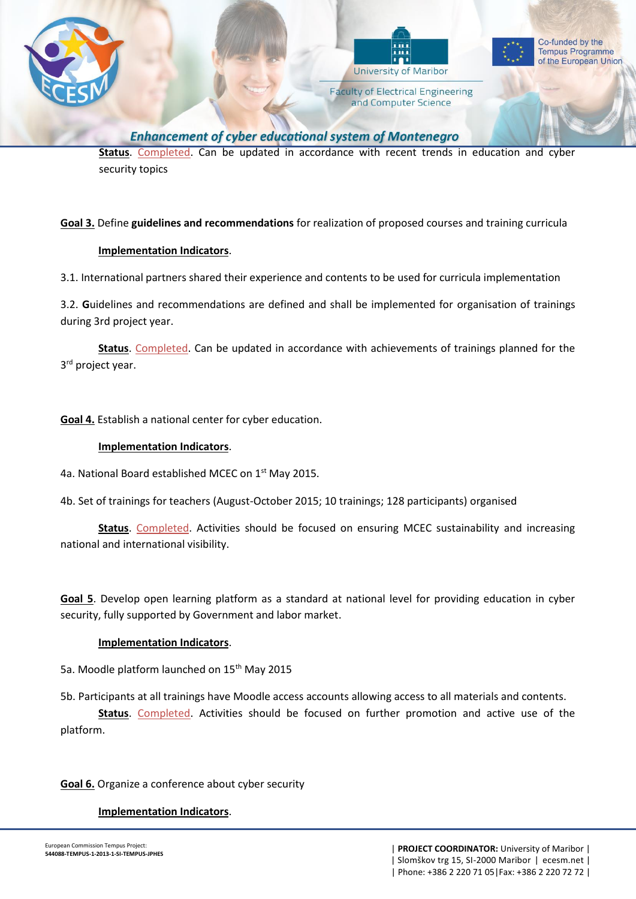



**Faculty of Electrical Engineering** and Computer Science



**Enhancement of cyber educational system of Montenegro** 

**Status**. Completed. Can be updated in accordance with recent trends in education and cyber security topics

#### **Goal 3.** Define **guidelines and recommendations** for realization of proposed courses and training curricula

#### **Implementation Indicators**.

3.1. International partners shared their experience and contents to be used for curricula implementation

3.2. **G**uidelines and recommendations are defined and shall be implemented for organisation of trainings during 3rd project year.

**Status**. Completed. Can be updated in accordance with achievements of trainings planned for the 3<sup>rd</sup> project year.

**Goal 4.** Establish a national center for cyber education.

#### **Implementation Indicators**.

4a. National Board established MCEC on 1<sup>st</sup> May 2015.

4b. Set of trainings for teachers (August-October 2015; 10 trainings; 128 participants) organised

**Status**. Completed. Activities should be focused on ensuring MCEC sustainability and increasing national and international visibility.

**Goal 5**. Develop open learning platform as a standard at national level for providing education in cyber security, fully supported by Government and labor market.

#### **Implementation Indicators**.

5a. Moodle platform launched on 15<sup>th</sup> May 2015

5b. Participants at all trainings have Moodle access accounts allowing access to all materials and contents.

**Status**. Completed. Activities should be focused on further promotion and active use of the platform.

#### **Goal 6.** Organize a conference about cyber security

#### **Implementation Indicators**.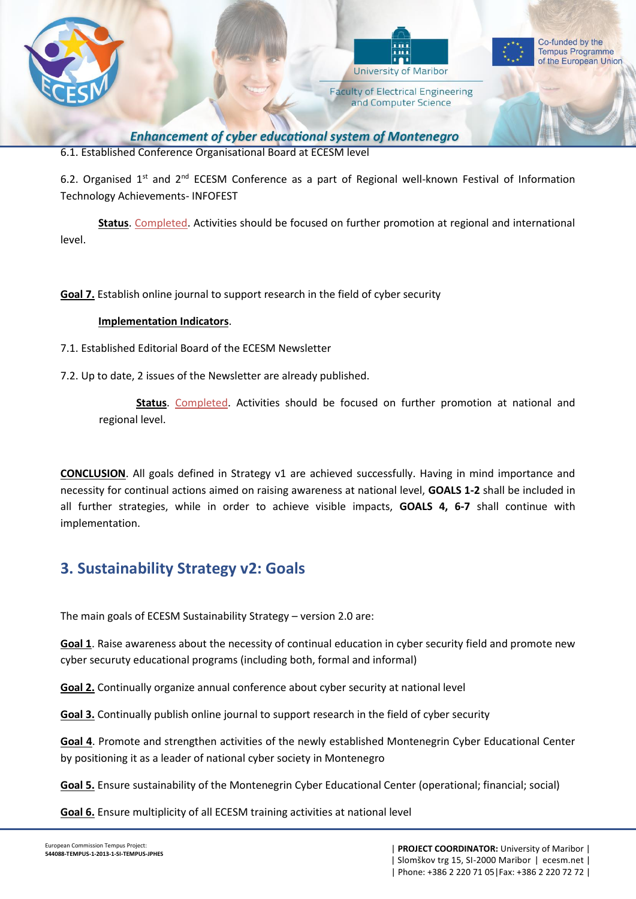

**Enhancement of cyber educational system of Montenegro** 

6.1. Established Conference Organisational Board at ECESM level

6.2. Organised  $1^{st}$  and  $2^{nd}$  ECESM Conference as a part of Regional well-known Festival of Information Technology Achievements- INFOFEST

**Status**. Completed. Activities should be focused on further promotion at regional and international level.

**Goal 7.** Establish online journal to support research in the field of cyber security

#### **Implementation Indicators**.

7.1. Established Editorial Board of the ECESM Newsletter

7.2. Up to date, 2 issues of the Newsletter are already published.

**Status**. Completed. Activities should be focused on further promotion at national and regional level.

**CONCLUSION**. All goals defined in Strategy v1 are achieved successfully. Having in mind importance and necessity for continual actions aimed on raising awareness at national level, **GOALS 1-2** shall be included in all further strategies, while in order to achieve visible impacts, **GOALS 4, 6-7** shall continue with implementation.

# **3. Sustainability Strategy v2: Goals**

The main goals of ECESM Sustainability Strategy – version 2.0 are:

**Goal 1**. Raise awareness about the necessity of continual education in cyber security field and promote new cyber securuty educational programs (including both, formal and informal)

**Goal 2.** Continually organize annual conference about cyber security at national level

**Goal 3.** Continually publish online journal to support research in the field of cyber security

**Goal 4**. Promote and strengthen activities of the newly established Montenegrin Cyber Educational Center by positioning it as a leader of national cyber society in Montenegro

**Goal 5.** Ensure sustainability of the Montenegrin Cyber Educational Center (operational; financial; social)

**Goal 6.** Ensure multiplicity of all ECESM training activities at national level